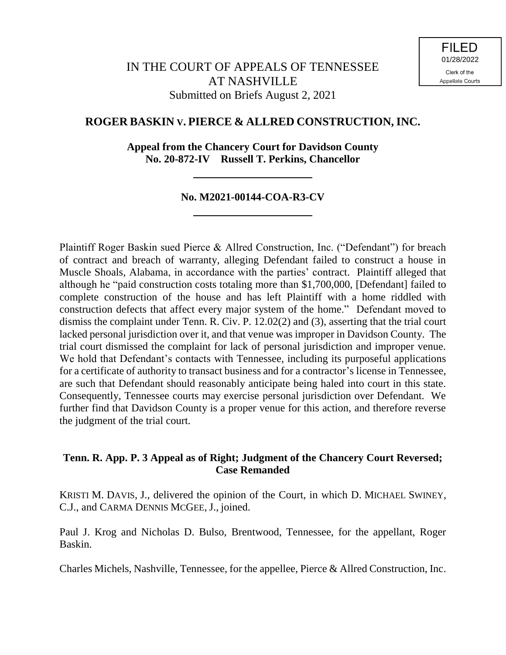# **ROGER BASKIN V. PIERCE & ALLRED CONSTRUCTION, INC.**

**Appeal from the Chancery Court for Davidson County No. 20-872-IV Russell T. Perkins, Chancellor**

# **No. M2021-00144-COA-R3-CV**

Plaintiff Roger Baskin sued Pierce & Allred Construction, Inc. ("Defendant") for breach of contract and breach of warranty, alleging Defendant failed to construct a house in Muscle Shoals, Alabama, in accordance with the parties' contract. Plaintiff alleged that although he "paid construction costs totaling more than \$1,700,000, [Defendant] failed to complete construction of the house and has left Plaintiff with a home riddled with construction defects that affect every major system of the home." Defendant moved to dismiss the complaint under Tenn. R. Civ. P. 12.02(2) and (3), asserting that the trial court lacked personal jurisdiction over it, and that venue was improper in Davidson County. The trial court dismissed the complaint for lack of personal jurisdiction and improper venue. We hold that Defendant's contacts with Tennessee, including its purposeful applications for a certificate of authority to transact business and for a contractor's license in Tennessee, are such that Defendant should reasonably anticipate being haled into court in this state. Consequently, Tennessee courts may exercise personal jurisdiction over Defendant. We further find that Davidson County is a proper venue for this action, and therefore reverse the judgment of the trial court.

# **Tenn. R. App. P. 3 Appeal as of Right; Judgment of the Chancery Court Reversed; Case Remanded**

KRISTI M. DAVIS, J., delivered the opinion of the Court, in which D. MICHAEL SWINEY, C.J., and CARMA DENNIS MCGEE, J., joined.

Paul J. Krog and Nicholas D. Bulso, Brentwood, Tennessee, for the appellant, Roger Baskin.

Charles Michels, Nashville, Tennessee, for the appellee, Pierce & Allred Construction, Inc.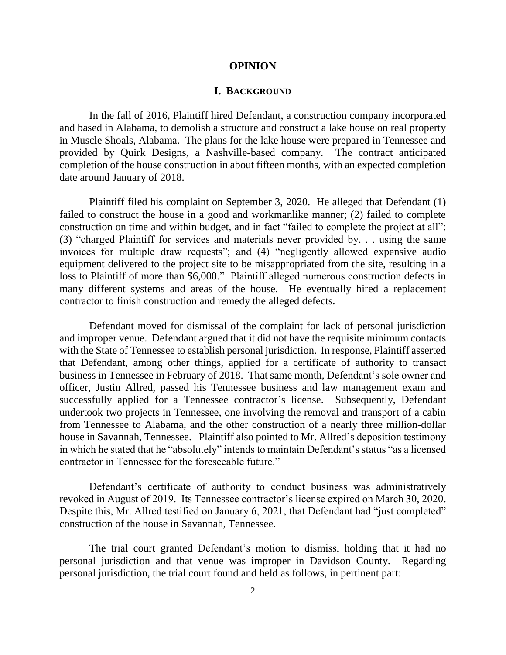#### **OPINION**

## **I. BACKGROUND**

In the fall of 2016, Plaintiff hired Defendant, a construction company incorporated and based in Alabama, to demolish a structure and construct a lake house on real property in Muscle Shoals, Alabama. The plans for the lake house were prepared in Tennessee and provided by Quirk Designs, a Nashville-based company. The contract anticipated completion of the house construction in about fifteen months, with an expected completion date around January of 2018.

Plaintiff filed his complaint on September 3, 2020. He alleged that Defendant (1) failed to construct the house in a good and workmanlike manner; (2) failed to complete construction on time and within budget, and in fact "failed to complete the project at all"; (3) "charged Plaintiff for services and materials never provided by. . . using the same invoices for multiple draw requests"; and (4) "negligently allowed expensive audio equipment delivered to the project site to be misappropriated from the site, resulting in a loss to Plaintiff of more than \$6,000." Plaintiff alleged numerous construction defects in many different systems and areas of the house. He eventually hired a replacement contractor to finish construction and remedy the alleged defects.

Defendant moved for dismissal of the complaint for lack of personal jurisdiction and improper venue. Defendant argued that it did not have the requisite minimum contacts with the State of Tennessee to establish personal jurisdiction. In response, Plaintiff asserted that Defendant, among other things, applied for a certificate of authority to transact business in Tennessee in February of 2018. That same month, Defendant's sole owner and officer, Justin Allred, passed his Tennessee business and law management exam and successfully applied for a Tennessee contractor's license. Subsequently, Defendant undertook two projects in Tennessee, one involving the removal and transport of a cabin from Tennessee to Alabama, and the other construction of a nearly three million-dollar house in Savannah, Tennessee. Plaintiff also pointed to Mr. Allred's deposition testimony in which he stated that he "absolutely" intends to maintain Defendant's status "as a licensed contractor in Tennessee for the foreseeable future."

Defendant's certificate of authority to conduct business was administratively revoked in August of 2019. Its Tennessee contractor's license expired on March 30, 2020. Despite this, Mr. Allred testified on January 6, 2021, that Defendant had "just completed" construction of the house in Savannah, Tennessee.

The trial court granted Defendant's motion to dismiss, holding that it had no personal jurisdiction and that venue was improper in Davidson County. Regarding personal jurisdiction, the trial court found and held as follows, in pertinent part: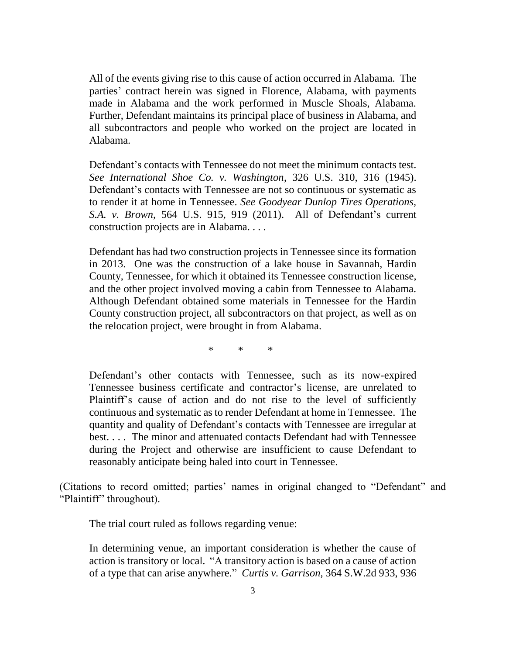All of the events giving rise to this cause of action occurred in Alabama. The parties' contract herein was signed in Florence, Alabama, with payments made in Alabama and the work performed in Muscle Shoals, Alabama. Further, Defendant maintains its principal place of business in Alabama, and all subcontractors and people who worked on the project are located in Alabama.

Defendant's contacts with Tennessee do not meet the minimum contacts test. *See International Shoe Co. v. Washington*, 326 U.S. 310, 316 (1945). Defendant's contacts with Tennessee are not so continuous or systematic as to render it at home in Tennessee. *See Goodyear Dunlop Tires Operations, S.A. v. Brown*, 564 U.S. 915, 919 (2011). All of Defendant's current construction projects are in Alabama. . . .

Defendant has had two construction projects in Tennessee since its formation in 2013. One was the construction of a lake house in Savannah, Hardin County, Tennessee, for which it obtained its Tennessee construction license, and the other project involved moving a cabin from Tennessee to Alabama. Although Defendant obtained some materials in Tennessee for the Hardin County construction project, all subcontractors on that project, as well as on the relocation project, were brought in from Alabama.

\* \* \*

Defendant's other contacts with Tennessee, such as its now-expired Tennessee business certificate and contractor's license, are unrelated to Plaintiff's cause of action and do not rise to the level of sufficiently continuous and systematic as to render Defendant at home in Tennessee. The quantity and quality of Defendant's contacts with Tennessee are irregular at best. . . . The minor and attenuated contacts Defendant had with Tennessee during the Project and otherwise are insufficient to cause Defendant to reasonably anticipate being haled into court in Tennessee.

(Citations to record omitted; parties' names in original changed to "Defendant" and "Plaintiff" throughout).

The trial court ruled as follows regarding venue:

In determining venue, an important consideration is whether the cause of action is transitory or local. "A transitory action is based on a cause of action of a type that can arise anywhere." *Curtis v. Garrison*, 364 S.W.2d 933, 936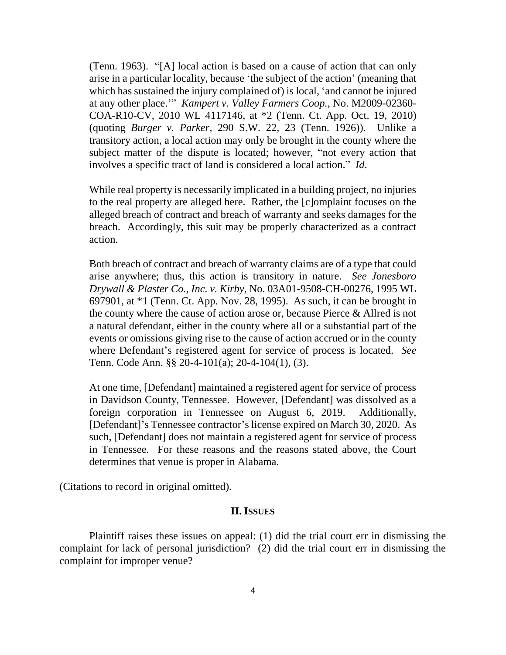(Tenn. 1963). "[A] local action is based on a cause of action that can only arise in a particular locality, because 'the subject of the action' (meaning that which has sustained the injury complained of) is local, 'and cannot be injured at any other place.'" *Kampert v. Valley Farmers Coop.*, No. M2009-02360- COA-R10-CV, 2010 WL 4117146, at \*2 (Tenn. Ct. App. Oct. 19, 2010) (quoting *Burger v. Parker*, 290 S.W. 22, 23 (Tenn. 1926)). Unlike a transitory action, a local action may only be brought in the county where the subject matter of the dispute is located; however, "not every action that involves a specific tract of land is considered a local action." *Id*.

While real property is necessarily implicated in a building project, no injuries to the real property are alleged here. Rather, the [c]omplaint focuses on the alleged breach of contract and breach of warranty and seeks damages for the breach. Accordingly, this suit may be properly characterized as a contract action.

Both breach of contract and breach of warranty claims are of a type that could arise anywhere; thus, this action is transitory in nature. *See Jonesboro Drywall & Plaster Co., Inc. v. Kirby*, No. 03A01-9508-CH-00276, 1995 WL 697901, at \*1 (Tenn. Ct. App. Nov. 28, 1995). As such, it can be brought in the county where the cause of action arose or, because Pierce & Allred is not a natural defendant, either in the county where all or a substantial part of the events or omissions giving rise to the cause of action accrued or in the county where Defendant's registered agent for service of process is located. *See* Tenn. Code Ann. §§ 20-4-101(a); 20-4-104(1), (3).

At one time, [Defendant] maintained a registered agent for service of process in Davidson County, Tennessee. However, [Defendant] was dissolved as a foreign corporation in Tennessee on August 6, 2019. Additionally, [Defendant]'s Tennessee contractor's license expired on March 30, 2020. As such, [Defendant] does not maintain a registered agent for service of process in Tennessee. For these reasons and the reasons stated above, the Court determines that venue is proper in Alabama.

(Citations to record in original omitted).

### **II. ISSUES**

Plaintiff raises these issues on appeal: (1) did the trial court err in dismissing the complaint for lack of personal jurisdiction? (2) did the trial court err in dismissing the complaint for improper venue?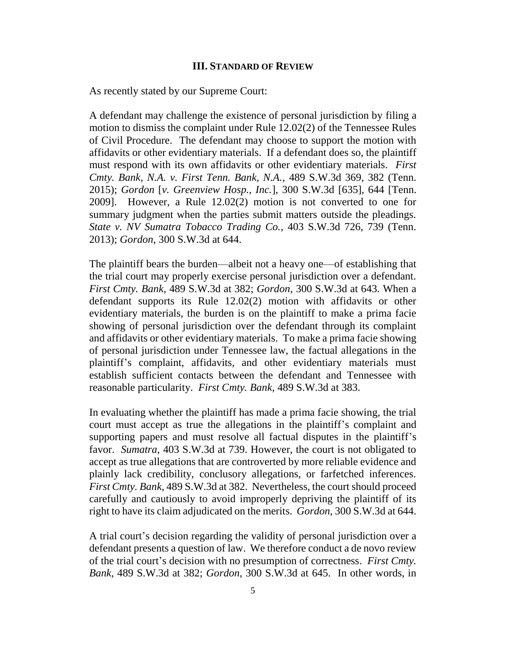#### **III. STANDARD OF REVIEW**

As recently stated by our Supreme Court:

A defendant may challenge the existence of personal jurisdiction by filing a motion to dismiss the complaint under Rule 12.02(2) of the Tennessee Rules of Civil Procedure. The defendant may choose to support the motion with affidavits or other evidentiary materials. If a defendant does so, the plaintiff must respond with its own affidavits or other evidentiary materials. *First Cmty. Bank, N.A. v. First Tenn. Bank, N.A.*, 489 S.W.3d 369, 382 (Tenn. 2015); *Gordon* [*v. Greenview Hosp., Inc.*], 300 S.W.3d [635], 644 [Tenn. 2009]. However, a Rule 12.02(2) motion is not converted to one for summary judgment when the parties submit matters outside the pleadings. *State v. NV Sumatra Tobacco Trading Co.*, 403 S.W.3d 726, 739 (Tenn. 2013); *Gordon*, 300 S.W.3d at 644.

The plaintiff bears the burden—albeit not a heavy one—of establishing that the trial court may properly exercise personal jurisdiction over a defendant. *First Cmty. Bank*, 489 S.W.3d at 382; *Gordon*, 300 S.W.3d at 643. When a defendant supports its Rule 12.02(2) motion with affidavits or other evidentiary materials, the burden is on the plaintiff to make a prima facie showing of personal jurisdiction over the defendant through its complaint and affidavits or other evidentiary materials. To make a prima facie showing of personal jurisdiction under Tennessee law, the factual allegations in the plaintiff's complaint, affidavits, and other evidentiary materials must establish sufficient contacts between the defendant and Tennessee with reasonable particularity. *First Cmty. Bank*, 489 S.W.3d at 383.

In evaluating whether the plaintiff has made a prima facie showing, the trial court must accept as true the allegations in the plaintiff's complaint and supporting papers and must resolve all factual disputes in the plaintiff's favor. *Sumatra*, 403 S.W.3d at 739. However, the court is not obligated to accept as true allegations that are controverted by more reliable evidence and plainly lack credibility, conclusory allegations, or farfetched inferences. *First Cmty. Bank*, 489 S.W.3d at 382. Nevertheless, the court should proceed carefully and cautiously to avoid improperly depriving the plaintiff of its right to have its claim adjudicated on the merits. *Gordon*, 300 S.W.3d at 644.

A trial court's decision regarding the validity of personal jurisdiction over a defendant presents a question of law. We therefore conduct a de novo review of the trial court's decision with no presumption of correctness. *First Cmty. Bank*, 489 S.W.3d at 382; *Gordon*, 300 S.W.3d at 645. In other words, in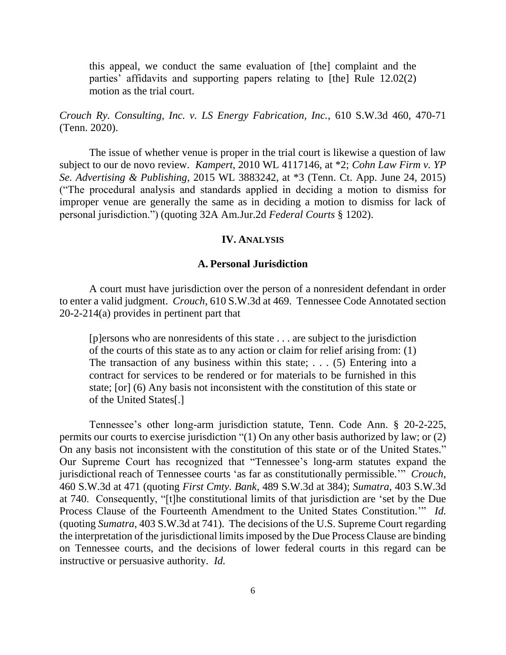this appeal, we conduct the same evaluation of [the] complaint and the parties' affidavits and supporting papers relating to [the] Rule 12.02(2) motion as the trial court.

*Crouch Ry. Consulting, Inc. v. LS Energy Fabrication, Inc.*, 610 S.W.3d 460, 470-71 (Tenn. 2020).

The issue of whether venue is proper in the trial court is likewise a question of law subject to our de novo review. *Kampert*, 2010 WL 4117146, at \*2; *Cohn Law Firm v. YP Se. Advertising & Publishing*, 2015 WL 3883242, at \*3 (Tenn. Ct. App. June 24, 2015) ("The procedural analysis and standards applied in deciding a motion to dismiss for improper venue are generally the same as in deciding a motion to dismiss for lack of personal jurisdiction.") (quoting 32A Am.Jur.2d *Federal Courts* § 1202).

### **IV. ANALYSIS**

### **A. Personal Jurisdiction**

A court must have jurisdiction over the person of a nonresident defendant in order to enter a valid judgment. *Crouch*, 610 S.W.3d at 469. Tennessee Code Annotated section 20-2-214(a) provides in pertinent part that

[p]ersons who are nonresidents of this state . . . are subject to the jurisdiction of the courts of this state as to any action or claim for relief arising from: (1) The transaction of any business within this state;  $\dots$  (5) Entering into a contract for services to be rendered or for materials to be furnished in this state; [or] (6) Any basis not inconsistent with the constitution of this state or of the United States[.]

Tennessee's other long-arm jurisdiction statute, Tenn. Code Ann. § 20-2-225, permits our courts to exercise jurisdiction "(1) On any other basis authorized by law; or (2) On any basis not inconsistent with the constitution of this state or of the United States." Our Supreme Court has recognized that "Tennessee's long-arm statutes expand the jurisdictional reach of Tennessee courts 'as far as constitutionally permissible.'" *Crouch*, 460 S.W.3d at 471 (quoting *First Cmty. Bank*, 489 S.W.3d at 384); *Sumatra*, 403 S.W.3d at 740. Consequently, "[t]he constitutional limits of that jurisdiction are 'set by the Due Process Clause of the Fourteenth Amendment to the United States Constitution." *Id.* (quoting *Sumatra*, 403 S.W.3d at 741). The decisions of the U.S. Supreme Court regarding the interpretation of the jurisdictional limits imposed by the Due Process Clause are binding on Tennessee courts, and the decisions of lower federal courts in this regard can be instructive or persuasive authority. *Id.*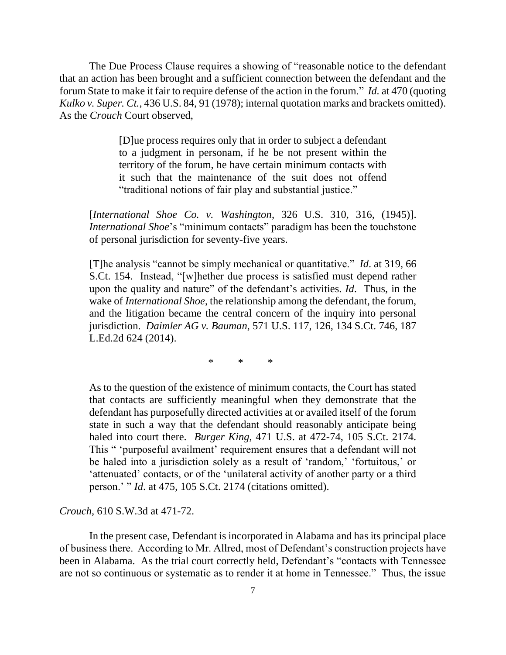The Due Process Clause requires a showing of "reasonable notice to the defendant that an action has been brought and a sufficient connection between the defendant and the forum State to make it fair to require defense of the action in the forum." *Id.* at 470 (quoting *Kulko v. Super. Ct.*, 436 U.S. 84, 91 (1978); internal quotation marks and brackets omitted). As the *Crouch* Court observed,

> [D]ue process requires only that in order to subject a defendant to a judgment in personam, if he be not present within the territory of the forum, he have certain minimum contacts with it such that the maintenance of the suit does not offend "traditional notions of fair play and substantial justice."

[*International Shoe Co. v. Washington*, 326 U.S. 310, 316, (1945)]. *International Shoe*'s "minimum contacts" paradigm has been the touchstone of personal jurisdiction for seventy-five years.

[T]he analysis "cannot be simply mechanical or quantitative." *Id*. at 319, 66 S.Ct. 154. Instead, "[w]hether due process is satisfied must depend rather upon the quality and nature" of the defendant's activities. *Id*. Thus, in the wake of *International Shoe*, the relationship among the defendant, the forum, and the litigation became the central concern of the inquiry into personal jurisdiction. *Daimler AG v. Bauman*, 571 U.S. 117, 126, 134 S.Ct. 746, 187 L.Ed.2d 624 (2014).

\* \* \*

As to the question of the existence of minimum contacts, the Court has stated that contacts are sufficiently meaningful when they demonstrate that the defendant has purposefully directed activities at or availed itself of the forum state in such a way that the defendant should reasonably anticipate being haled into court there. *Burger King*, 471 U.S. at 472-74, 105 S.Ct. 2174. This " 'purposeful availment' requirement ensures that a defendant will not be haled into a jurisdiction solely as a result of 'random,' 'fortuitous,' or 'attenuated' contacts, or of the 'unilateral activity of another party or a third person.' " *Id*. at 475, 105 S.Ct. 2174 (citations omitted).

*Crouch*, 610 S.W.3d at 471-72.

In the present case, Defendant is incorporated in Alabama and has its principal place of business there. According to Mr. Allred, most of Defendant's construction projects have been in Alabama. As the trial court correctly held, Defendant's "contacts with Tennessee are not so continuous or systematic as to render it at home in Tennessee." Thus, the issue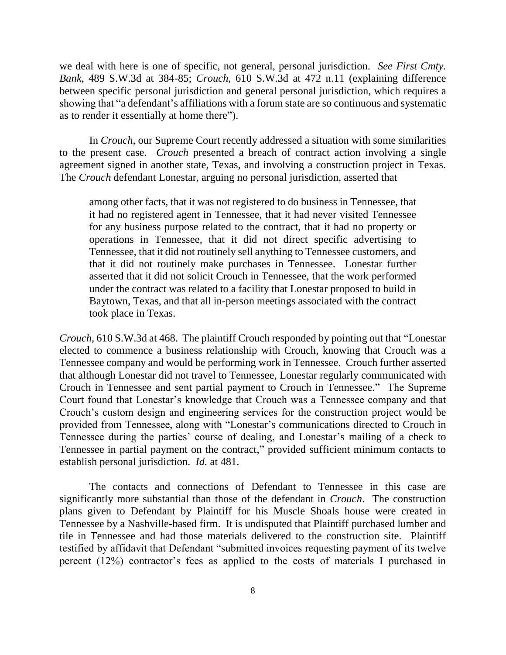we deal with here is one of specific, not general, personal jurisdiction. *See First Cmty. Bank*, 489 S.W.3d at 384-85; *Crouch*, 610 S.W.3d at 472 n.11 (explaining difference between specific personal jurisdiction and general personal jurisdiction, which requires a showing that "a defendant's affiliations with a forum state are so continuous and systematic as to render it essentially at home there").

In *Crouch*, our Supreme Court recently addressed a situation with some similarities to the present case. *Crouch* presented a breach of contract action involving a single agreement signed in another state, Texas, and involving a construction project in Texas. The *Crouch* defendant Lonestar, arguing no personal jurisdiction, asserted that

among other facts, that it was not registered to do business in Tennessee, that it had no registered agent in Tennessee, that it had never visited Tennessee for any business purpose related to the contract, that it had no property or operations in Tennessee, that it did not direct specific advertising to Tennessee, that it did not routinely sell anything to Tennessee customers, and that it did not routinely make purchases in Tennessee. Lonestar further asserted that it did not solicit Crouch in Tennessee, that the work performed under the contract was related to a facility that Lonestar proposed to build in Baytown, Texas, and that all in-person meetings associated with the contract took place in Texas.

*Crouch*, 610 S.W.3d at 468. The plaintiff Crouch responded by pointing out that "Lonestar elected to commence a business relationship with Crouch, knowing that Crouch was a Tennessee company and would be performing work in Tennessee. Crouch further asserted that although Lonestar did not travel to Tennessee, Lonestar regularly communicated with Crouch in Tennessee and sent partial payment to Crouch in Tennessee." The Supreme Court found that Lonestar's knowledge that Crouch was a Tennessee company and that Crouch's custom design and engineering services for the construction project would be provided from Tennessee, along with "Lonestar's communications directed to Crouch in Tennessee during the parties' course of dealing, and Lonestar's mailing of a check to Tennessee in partial payment on the contract," provided sufficient minimum contacts to establish personal jurisdiction. *Id.* at 481.

The contacts and connections of Defendant to Tennessee in this case are significantly more substantial than those of the defendant in *Crouch*. The construction plans given to Defendant by Plaintiff for his Muscle Shoals house were created in Tennessee by a Nashville-based firm. It is undisputed that Plaintiff purchased lumber and tile in Tennessee and had those materials delivered to the construction site. Plaintiff testified by affidavit that Defendant "submitted invoices requesting payment of its twelve percent (12%) contractor's fees as applied to the costs of materials I purchased in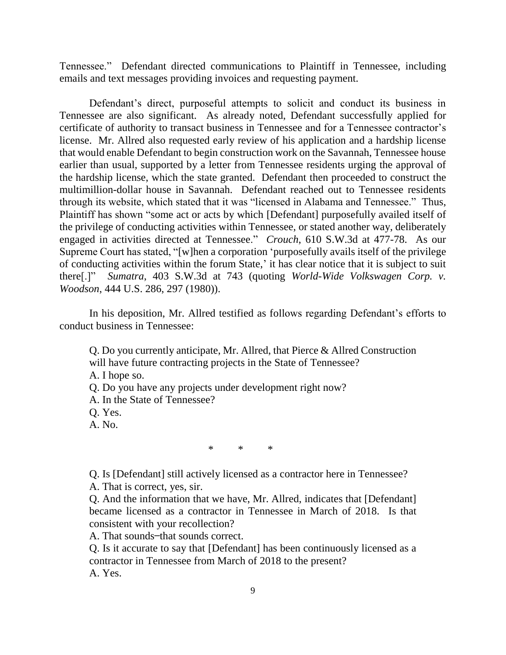Tennessee." Defendant directed communications to Plaintiff in Tennessee, including emails and text messages providing invoices and requesting payment.

Defendant's direct, purposeful attempts to solicit and conduct its business in Tennessee are also significant. As already noted, Defendant successfully applied for certificate of authority to transact business in Tennessee and for a Tennessee contractor's license. Mr. Allred also requested early review of his application and a hardship license that would enable Defendant to begin construction work on the Savannah, Tennessee house earlier than usual, supported by a letter from Tennessee residents urging the approval of the hardship license, which the state granted. Defendant then proceeded to construct the multimillion-dollar house in Savannah. Defendant reached out to Tennessee residents through its website, which stated that it was "licensed in Alabama and Tennessee." Thus, Plaintiff has shown "some act or acts by which [Defendant] purposefully availed itself of the privilege of conducting activities within Tennessee, or stated another way, deliberately engaged in activities directed at Tennessee." *Crouch*, 610 S.W.3d at 477-78. As our Supreme Court has stated, "[w]hen a corporation 'purposefully avails itself of the privilege of conducting activities within the forum State,' it has clear notice that it is subject to suit there[.]" *Sumatra*, 403 S.W.3d at 743 (quoting *World-Wide Volkswagen Corp. v. Woodson*, 444 U.S. 286, 297 (1980)).

In his deposition, Mr. Allred testified as follows regarding Defendant's efforts to conduct business in Tennessee:

Q. Do you currently anticipate, Mr. Allred, that Pierce & Allred Construction will have future contracting projects in the State of Tennessee?

A. I hope so.

Q. Do you have any projects under development right now?

A. In the State of Tennessee?

Q. Yes.

A. No.

\* \* \*

Q. Is [Defendant] still actively licensed as a contractor here in Tennessee?

A. That is correct, yes, sir.

Q. And the information that we have, Mr. Allred, indicates that [Defendant] became licensed as a contractor in Tennessee in March of 2018. Is that consistent with your recollection?

A. That sounds-that sounds correct.

Q. Is it accurate to say that [Defendant] has been continuously licensed as a contractor in Tennessee from March of 2018 to the present? A. Yes.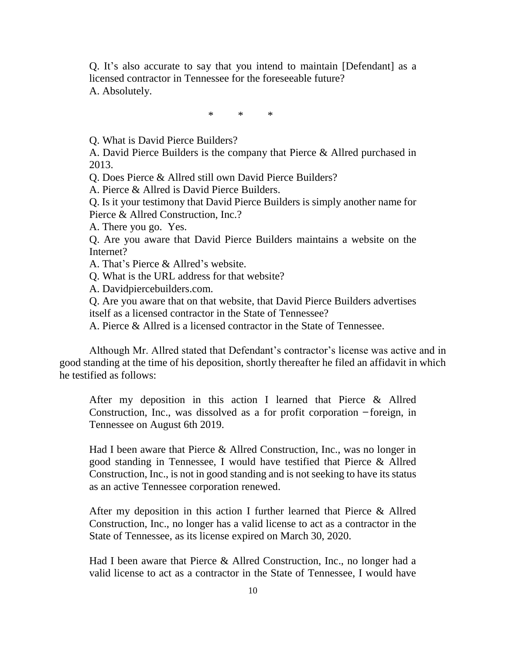Q. It's also accurate to say that you intend to maintain [Defendant] as a licensed contractor in Tennessee for the foreseeable future? A. Absolutely.

\* \* \*

Q. What is David Pierce Builders?

A. David Pierce Builders is the company that Pierce & Allred purchased in 2013.

Q. Does Pierce & Allred still own David Pierce Builders?

A. Pierce & Allred is David Pierce Builders.

Q. Is it your testimony that David Pierce Builders is simply another name for Pierce & Allred Construction, Inc.?

A. There you go. Yes.

Q. Are you aware that David Pierce Builders maintains a website on the Internet?

A. That's Pierce & Allred's website.

Q. What is the URL address for that website?

A. Davidpiercebuilders.com.

Q. Are you aware that on that website, that David Pierce Builders advertises itself as a licensed contractor in the State of Tennessee?

A. Pierce & Allred is a licensed contractor in the State of Tennessee.

Although Mr. Allred stated that Defendant's contractor's license was active and in good standing at the time of his deposition, shortly thereafter he filed an affidavit in which he testified as follows:

After my deposition in this action I learned that Pierce & Allred Construction, Inc., was dissolved as a for profit corporation  $-$ foreign, in Tennessee on August 6th 2019.

Had I been aware that Pierce & Allred Construction, Inc., was no longer in good standing in Tennessee, I would have testified that Pierce & Allred Construction, Inc., is not in good standing and is not seeking to have its status as an active Tennessee corporation renewed.

After my deposition in this action I further learned that Pierce & Allred Construction, Inc., no longer has a valid license to act as a contractor in the State of Tennessee, as its license expired on March 30, 2020.

Had I been aware that Pierce & Allred Construction, Inc., no longer had a valid license to act as a contractor in the State of Tennessee, I would have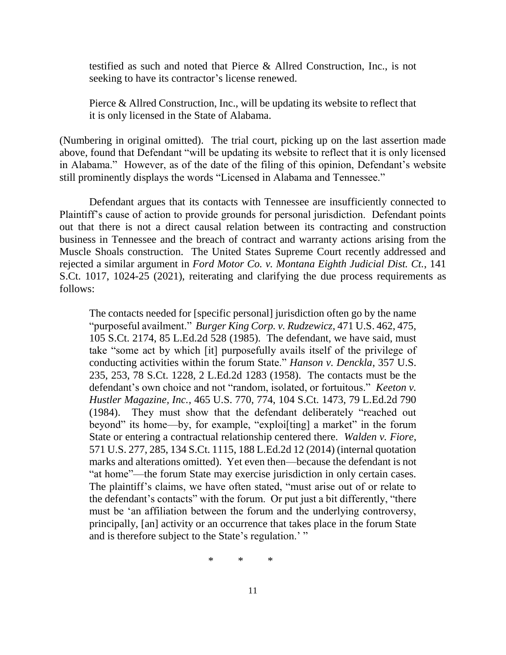testified as such and noted that Pierce & Allred Construction, Inc., is not seeking to have its contractor's license renewed.

Pierce & Allred Construction, Inc., will be updating its website to reflect that it is only licensed in the State of Alabama.

(Numbering in original omitted). The trial court, picking up on the last assertion made above, found that Defendant "will be updating its website to reflect that it is only licensed in Alabama." However, as of the date of the filing of this opinion, Defendant's website still prominently displays the words "Licensed in Alabama and Tennessee."

Defendant argues that its contacts with Tennessee are insufficiently connected to Plaintiff's cause of action to provide grounds for personal jurisdiction. Defendant points out that there is not a direct causal relation between its contracting and construction business in Tennessee and the breach of contract and warranty actions arising from the Muscle Shoals construction. The United States Supreme Court recently addressed and rejected a similar argument in *Ford Motor Co. v. Montana Eighth Judicial Dist. Ct.*, 141 S.Ct. 1017, 1024-25 (2021), reiterating and clarifying the due process requirements as follows:

The contacts needed for [specific personal] jurisdiction often go by the name "purposeful availment." *Burger King Corp. v. Rudzewicz*, 471 U.S. 462, 475, 105 S.Ct. 2174, 85 L.Ed.2d 528 (1985). The defendant, we have said, must take "some act by which [it] purposefully avails itself of the privilege of conducting activities within the forum State." *Hanson v. Denckla*, 357 U.S. 235, 253, 78 S.Ct. 1228, 2 L.Ed.2d 1283 (1958). The contacts must be the defendant's own choice and not "random, isolated, or fortuitous." *Keeton v. Hustler Magazine, Inc.*, 465 U.S. 770, 774, 104 S.Ct. 1473, 79 L.Ed.2d 790 (1984). They must show that the defendant deliberately "reached out beyond" its home—by, for example, "exploi[ting] a market" in the forum State or entering a contractual relationship centered there. *Walden v. Fiore*, 571 U.S. 277, 285, 134 S.Ct. 1115, 188 L.Ed.2d 12 (2014) (internal quotation marks and alterations omitted). Yet even then—because the defendant is not "at home"—the forum State may exercise jurisdiction in only certain cases. The plaintiff's claims, we have often stated, "must arise out of or relate to the defendant's contacts" with the forum. Or put just a bit differently, "there must be 'an affiliation between the forum and the underlying controversy, principally, [an] activity or an occurrence that takes place in the forum State and is therefore subject to the State's regulation.'"

\* \* \*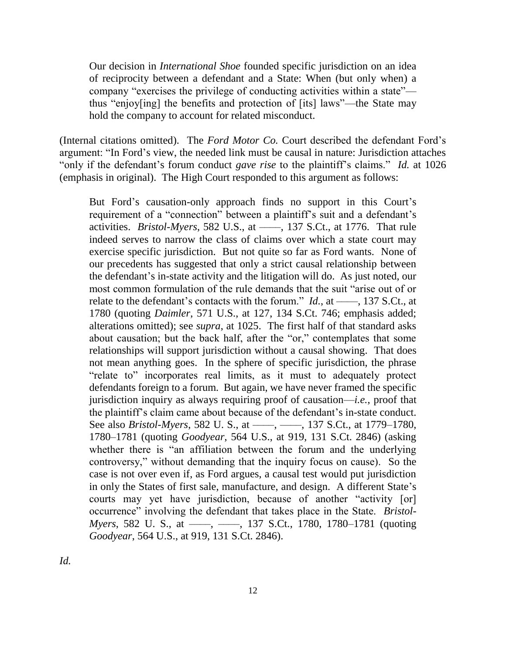Our decision in *International Shoe* founded specific jurisdiction on an idea of reciprocity between a defendant and a State: When (but only when) a company "exercises the privilege of conducting activities within a state" thus "enjoy[ing] the benefits and protection of [its] laws"—the State may hold the company to account for related misconduct.

(Internal citations omitted). The *Ford Motor Co.* Court described the defendant Ford's argument: "In Ford's view, the needed link must be causal in nature: Jurisdiction attaches "only if the defendant's forum conduct *gave rise* to the plaintiff's claims." *Id.* at 1026 (emphasis in original). The High Court responded to this argument as follows:

But Ford's causation-only approach finds no support in this Court's requirement of a "connection" between a plaintiff's suit and a defendant's activities. *Bristol-Myers*, 582 U.S., at ––––, 137 S.Ct., at 1776. That rule indeed serves to narrow the class of claims over which a state court may exercise specific jurisdiction. But not quite so far as Ford wants. None of our precedents has suggested that only a strict causal relationship between the defendant's in-state activity and the litigation will do. As just noted, our most common formulation of the rule demands that the suit "arise out of or relate to the defendant's contacts with the forum." *Id.*, at ——, 137 S.Ct., at 1780 (quoting *Daimler*, 571 U.S., at 127, 134 S.Ct. 746; emphasis added; alterations omitted); see *supra*, at 1025. The first half of that standard asks about causation; but the back half, after the "or," contemplates that some relationships will support jurisdiction without a causal showing. That does not mean anything goes. In the sphere of specific jurisdiction, the phrase "relate to" incorporates real limits, as it must to adequately protect defendants foreign to a forum. But again, we have never framed the specific jurisdiction inquiry as always requiring proof of causation—*i.e.*, proof that the plaintiff's claim came about because of the defendant's in-state conduct. See also *Bristol-Myers*, 582 U. S., at ——, ——, 137 S.Ct., at 1779–1780, 1780–1781 (quoting *Goodyear*, 564 U.S., at 919, 131 S.Ct. 2846) (asking whether there is "an affiliation between the forum and the underlying controversy," without demanding that the inquiry focus on cause). So the case is not over even if, as Ford argues, a causal test would put jurisdiction in only the States of first sale, manufacture, and design. A different State's courts may yet have jurisdiction, because of another "activity [or] occurrence" involving the defendant that takes place in the State. *Bristol-Myers*, 582 U. S., at ——, ——, 137 S.Ct., 1780, 1780–1781 (quoting *Goodyear*, 564 U.S., at 919, 131 S.Ct. 2846).

*Id.*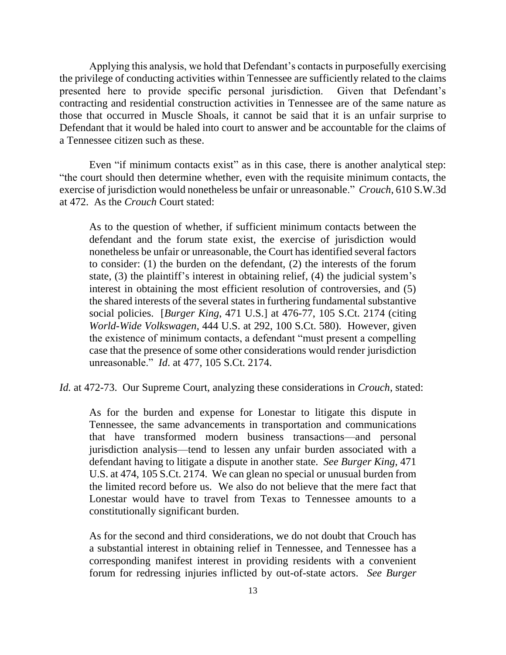Applying this analysis, we hold that Defendant's contacts in purposefully exercising the privilege of conducting activities within Tennessee are sufficiently related to the claims presented here to provide specific personal jurisdiction. Given that Defendant's contracting and residential construction activities in Tennessee are of the same nature as those that occurred in Muscle Shoals, it cannot be said that it is an unfair surprise to Defendant that it would be haled into court to answer and be accountable for the claims of a Tennessee citizen such as these.

Even "if minimum contacts exist" as in this case, there is another analytical step: "the court should then determine whether, even with the requisite minimum contacts, the exercise of jurisdiction would nonetheless be unfair or unreasonable." *Crouch*, 610 S.W.3d at 472. As the *Crouch* Court stated:

As to the question of whether, if sufficient minimum contacts between the defendant and the forum state exist, the exercise of jurisdiction would nonetheless be unfair or unreasonable, the Court has identified several factors to consider: (1) the burden on the defendant, (2) the interests of the forum state, (3) the plaintiff's interest in obtaining relief, (4) the judicial system's interest in obtaining the most efficient resolution of controversies, and (5) the shared interests of the several states in furthering fundamental substantive social policies. [*Burger King*, 471 U.S.] at 476-77, 105 S.Ct. 2174 (citing *World-Wide Volkswagen*, 444 U.S. at 292, 100 S.Ct. 580). However, given the existence of minimum contacts, a defendant "must present a compelling case that the presence of some other considerations would render jurisdiction unreasonable." *Id*. at 477, 105 S.Ct. 2174.

*Id.* at 472-73. Our Supreme Court, analyzing these considerations in *Crouch*, stated:

As for the burden and expense for Lonestar to litigate this dispute in Tennessee, the same advancements in transportation and communications that have transformed modern business transactions—and personal jurisdiction analysis—tend to lessen any unfair burden associated with a defendant having to litigate a dispute in another state. *See Burger King*, 471 U.S. at 474, 105 S.Ct. 2174. We can glean no special or unusual burden from the limited record before us. We also do not believe that the mere fact that Lonestar would have to travel from Texas to Tennessee amounts to a constitutionally significant burden.

As for the second and third considerations, we do not doubt that Crouch has a substantial interest in obtaining relief in Tennessee, and Tennessee has a corresponding manifest interest in providing residents with a convenient forum for redressing injuries inflicted by out-of-state actors. *See Burger*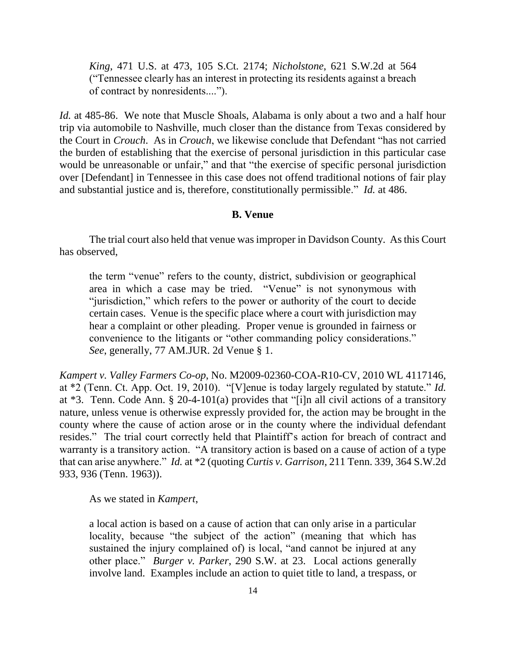*King*, 471 U.S. at 473, 105 S.Ct. 2174; *Nicholstone*, 621 S.W.2d at 564 ("Tennessee clearly has an interest in protecting its residents against a breach of contract by nonresidents....").

*Id.* at 485-86. We note that Muscle Shoals, Alabama is only about a two and a half hour trip via automobile to Nashville, much closer than the distance from Texas considered by the Court in *Crouch*. As in *Crouch*, we likewise conclude that Defendant "has not carried the burden of establishing that the exercise of personal jurisdiction in this particular case would be unreasonable or unfair," and that "the exercise of specific personal jurisdiction over [Defendant] in Tennessee in this case does not offend traditional notions of fair play and substantial justice and is, therefore, constitutionally permissible." *Id.* at 486.

## **B. Venue**

The trial court also held that venue was improper in Davidson County. As this Court has observed,

the term "venue" refers to the county, district, subdivision or geographical area in which a case may be tried. "Venue" is not synonymous with "jurisdiction," which refers to the power or authority of the court to decide certain cases. Venue is the specific place where a court with jurisdiction may hear a complaint or other pleading. Proper venue is grounded in fairness or convenience to the litigants or "other commanding policy considerations." *See*, generally, 77 AM.JUR. 2d Venue § 1.

*Kampert v. Valley Farmers Co-op*, No. M2009-02360-COA-R10-CV, 2010 WL 4117146, at \*2 (Tenn. Ct. App. Oct. 19, 2010). "[V]enue is today largely regulated by statute." *Id.* at \*3. Tenn. Code Ann. § 20-4-101(a) provides that "[i]n all civil actions of a transitory nature, unless venue is otherwise expressly provided for, the action may be brought in the county where the cause of action arose or in the county where the individual defendant resides." The trial court correctly held that Plaintiff's action for breach of contract and warranty is a transitory action. "A transitory action is based on a cause of action of a type that can arise anywhere." *Id.* at \*2 (quoting *Curtis v. Garrison*, 211 Tenn. 339, 364 S.W.2d 933, 936 (Tenn. 1963)).

As we stated in *Kampert*,

a local action is based on a cause of action that can only arise in a particular locality, because "the subject of the action" (meaning that which has sustained the injury complained of) is local, "and cannot be injured at any other place." *Burger v. Parker*, 290 S.W. at 23. Local actions generally involve land. Examples include an action to quiet title to land, a trespass, or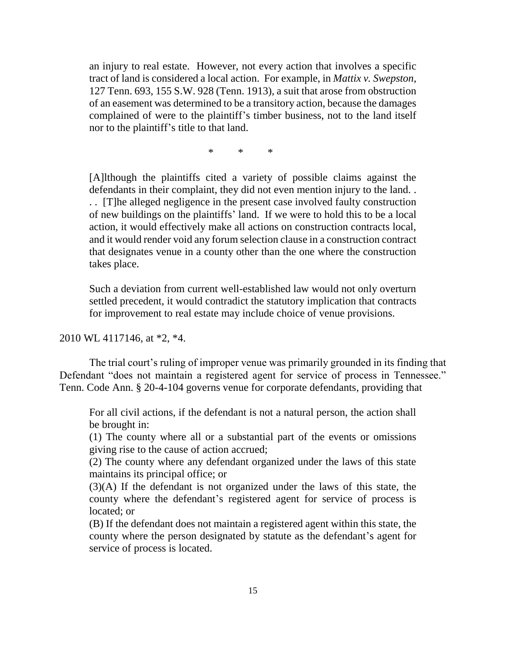an injury to real estate. However, not every action that involves a specific tract of land is considered a local action. For example, in *Mattix v. Swepston*, 127 Tenn. 693, 155 S.W. 928 (Tenn. 1913), a suit that arose from obstruction of an easement was determined to be a transitory action, because the damages complained of were to the plaintiff's timber business, not to the land itself nor to the plaintiff's title to that land.

\* \* \*

[A]lthough the plaintiffs cited a variety of possible claims against the defendants in their complaint, they did not even mention injury to the land. . . . [T]he alleged negligence in the present case involved faulty construction of new buildings on the plaintiffs' land. If we were to hold this to be a local action, it would effectively make all actions on construction contracts local, and it would render void any forum selection clause in a construction contract that designates venue in a county other than the one where the construction takes place.

Such a deviation from current well-established law would not only overturn settled precedent, it would contradict the statutory implication that contracts for improvement to real estate may include choice of venue provisions.

2010 WL 4117146, at \*2, \*4.

The trial court's ruling of improper venue was primarily grounded in its finding that Defendant "does not maintain a registered agent for service of process in Tennessee." Tenn. Code Ann. § 20-4-104 governs venue for corporate defendants, providing that

For all civil actions, if the defendant is not a natural person, the action shall be brought in:

(1) The county where all or a substantial part of the events or omissions giving rise to the cause of action accrued;

(2) The county where any defendant organized under the laws of this state maintains its principal office; or

(3)(A) If the defendant is not organized under the laws of this state, the county where the defendant's registered agent for service of process is located; or

(B) If the defendant does not maintain a registered agent within this state, the county where the person designated by statute as the defendant's agent for service of process is located.